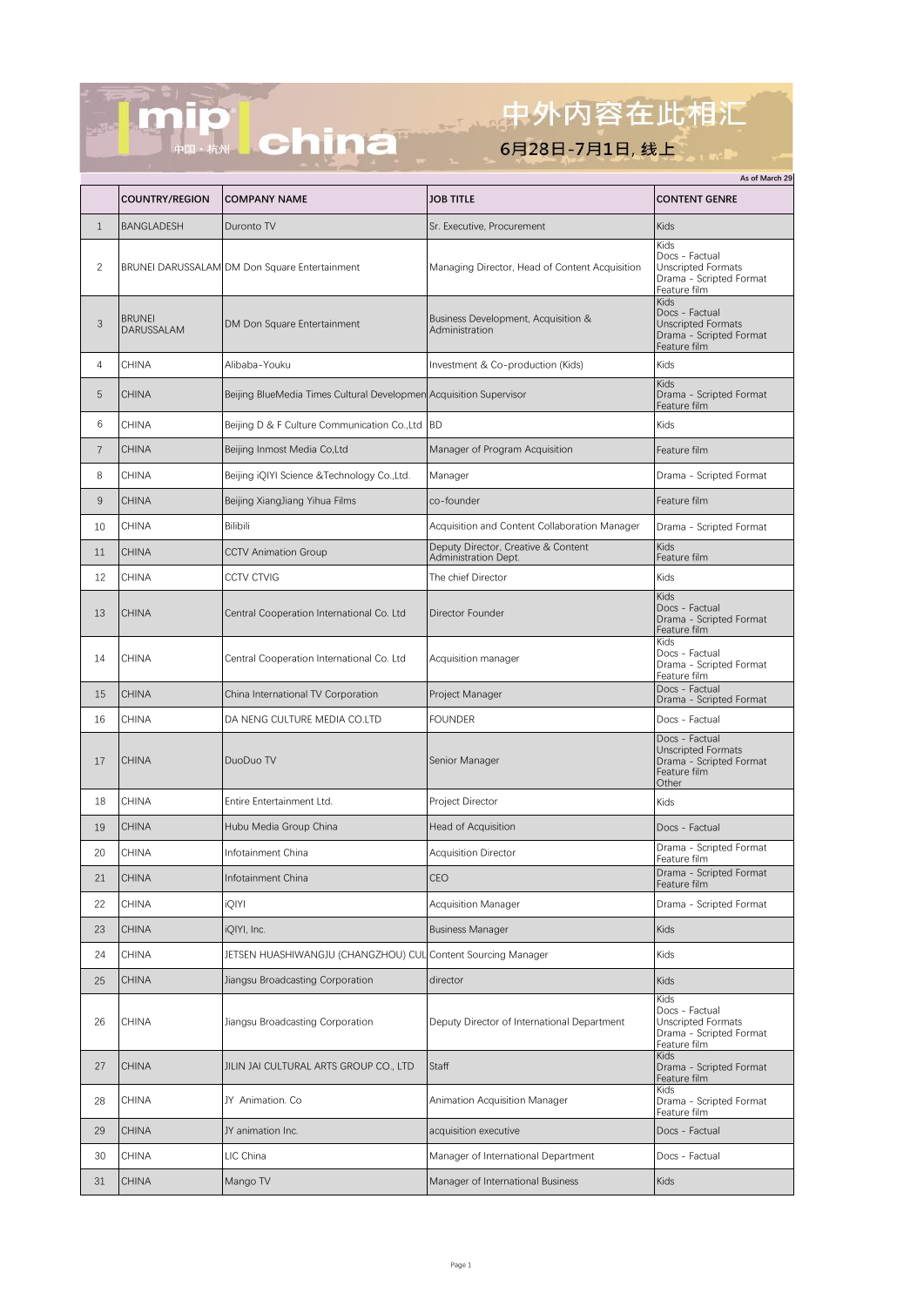

|                |                             |                                                                    |                                                             | As of March 29                                                                                        |
|----------------|-----------------------------|--------------------------------------------------------------------|-------------------------------------------------------------|-------------------------------------------------------------------------------------------------------|
|                | <b>COUNTRY/REGION</b>       | <b>COMPANY NAME</b>                                                | <b>JOB TITLE</b>                                            | <b>CONTENT GENRE</b>                                                                                  |
| $\mathbf{1}$   | <b>BANGLADESH</b>           | Duronto TV                                                         | Sr. Executive, Procurement                                  | Kids                                                                                                  |
| $\overline{2}$ |                             | BRUNEI DARUSSALAM DM Don Square Entertainment                      | Managing Director, Head of Content Acquisition              | Kids<br>Docs - Factual<br>Unscripted Formats<br>Drama - Scripted Format<br>Feature film               |
| 3              | <b>BRUNEI</b><br>DARUSSALAM | DM Don Square Entertainment                                        | Business Development, Acquisition &<br>Administration       | <b>Kids</b><br>Docs - Factual<br><b>Unscripted Formats</b><br>Drama - Scripted Format<br>Feature film |
| 4              | CHINA                       | Alibaba-Youku                                                      | Investment & Co-production (Kids)                           | Kids                                                                                                  |
| 5              | <b>CHINA</b>                | Beijing BlueMedia Times Cultural Developmen Acquisition Supervisor |                                                             | Kids<br>Drama - Scripted Format<br>Feature film                                                       |
| 6              | <b>CHINA</b>                | Beijing D & F Culture Communication Co., Ltd BD                    |                                                             | Kids                                                                                                  |
| $\overline{7}$ | <b>CHINA</b>                | Beijing Inmost Media Co,Ltd                                        | Manager of Program Acquisition                              | Feature film                                                                                          |
| 8              | CHINA                       | Beijing iQIYI Science & Technology Co., Ltd.                       | Manager                                                     | Drama - Scripted Format                                                                               |
| 9              | <b>CHINA</b>                | Beijing XiangJiang Yihua Films                                     | co-founder                                                  | Feature film                                                                                          |
| 10             | <b>CHINA</b>                | <b>Bilibili</b>                                                    | Acquisition and Content Collaboration Manager               | Drama - Scripted Format                                                                               |
| 11             | <b>CHINA</b>                | <b>CCTV Animation Group</b>                                        | Deputy Director, Creative & Content<br>Administration Dept. | <b>Kids</b><br>Feature film                                                                           |
| 12             | CHINA                       | <b>CCTV CTVIG</b>                                                  | The chief Director                                          | Kids                                                                                                  |
| 13             | CHINA                       | Central Cooperation International Co. Ltd                          | Director Founder                                            | <b>Kids</b><br>Docs - Factual<br>Drama - Scripted Format<br>Feature film                              |
| 14             | <b>CHINA</b>                | Central Cooperation International Co. Ltd                          | Acquisition manager                                         | Kids<br>Docs - Factual<br>Drama - Scripted Format<br>Feature film                                     |
| 15             | <b>CHINA</b>                | China International TV Corporation                                 | Project Manager                                             | Docs - Factual<br>Drama - Scripted Format                                                             |
| 16             | CHINA                       | DA NENG CULTURE MEDIA CO.LTD                                       | FOUNDER                                                     | Docs - Factual                                                                                        |
| 17             | <b>CHINA</b>                | DuoDuo TV                                                          | Senior Manager                                              | Docs - Factual<br>Unscripted Formats<br>Drama - Scripted Format<br>Feature film<br>Other              |
| 18             | CHINA                       | Entire Entertainment Ltd.                                          | Project Director                                            | Kids                                                                                                  |
| 19             | <b>CHINA</b>                | Hubu Media Group China                                             | Head of Acquisition                                         | Docs - Factual                                                                                        |
| 20             | <b>CHINA</b>                | Infotainment China                                                 | Acquisition Director                                        | Drama - Scripted Format<br>Feature film                                                               |
| 21             | <b>CHINA</b>                | Infotainment China                                                 | CEO                                                         | Drama - Scripted Format<br>Feature film                                                               |
| 22             | CHINA                       | iOIYI                                                              | Acquisition Manager                                         | Drama - Scripted Format                                                                               |
| 23             | <b>CHINA</b>                | iQIYI, Inc.                                                        | <b>Business Manager</b>                                     | Kids                                                                                                  |
| 24             | CHINA                       | JETSEN HUASHIWANGJU (CHANGZHOU) CUL                                | Content Sourcing Manager                                    | Kids                                                                                                  |
| 25             | <b>CHINA</b>                | Jiangsu Broadcasting Corporation                                   | director                                                    | Kids                                                                                                  |
| 26             | CHINA                       | Jiangsu Broadcasting Corporation                                   | Deputy Director of International Department                 | Kids<br>Docs - Factual<br>Unscripted Formats<br>Drama - Scripted Format<br>Feature film               |
| 27             | <b>CHINA</b>                | JILIN JAI CULTURAL ARTS GROUP CO., LTD                             | Staff                                                       | <b>Kids</b><br>Drama - Scripted Format<br>Feature film                                                |
| 28             | CHINA                       | JY Animation. Co                                                   | Animation Acquisition Manager                               | Kids<br>Drama - Scripted Format<br>Feature film                                                       |
| 29             | <b>CHINA</b>                | JY animation Inc.                                                  | acquisition executive                                       | Docs - Factual                                                                                        |
| 30             | CHINA                       | LIC China                                                          | Manager of International Department                         | Docs - Factual                                                                                        |
| 31             | CHINA                       | Mango TV                                                           | Manager of International Business                           | Kids                                                                                                  |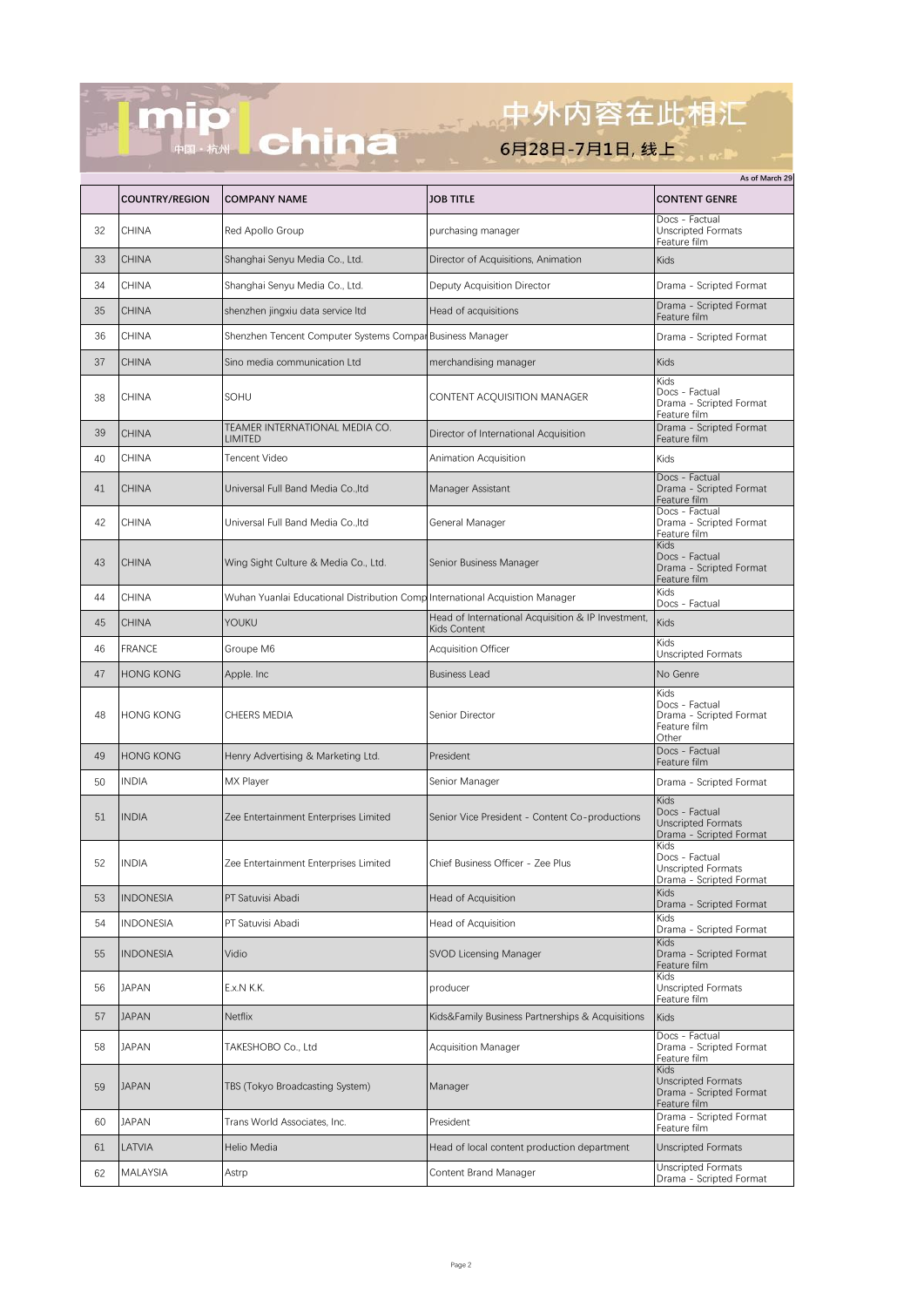

|    | As of March 29        |                                                                              |                                                                    |                                                                                |
|----|-----------------------|------------------------------------------------------------------------------|--------------------------------------------------------------------|--------------------------------------------------------------------------------|
|    | <b>COUNTRY/REGION</b> | <b>COMPANY NAME</b>                                                          | <b>JOB TITLE</b>                                                   | <b>CONTENT GENRE</b>                                                           |
| 32 | CHINA                 | Red Apollo Group                                                             | purchasing manager                                                 | Docs - Factual<br>Unscripted Formats<br>Feature film                           |
| 33 | CHINA                 | Shanghai Senyu Media Co., Ltd.                                               | Director of Acquisitions, Animation                                | <b>Kids</b>                                                                    |
| 34 | CHINA                 | Shanghai Senyu Media Co., Ltd.                                               | Deputy Acquisition Director                                        | Drama - Scripted Format                                                        |
| 35 | <b>CHINA</b>          | shenzhen jingxiu data service Itd                                            | Head of acquisitions                                               | Drama - Scripted Format<br>Feature film                                        |
| 36 | CHINA                 | Shenzhen Tencent Computer Systems Compar Business Manager                    |                                                                    | Drama - Scripted Format                                                        |
| 37 | <b>CHINA</b>          | Sino media communication Ltd                                                 | merchandising manager                                              | <b>Kids</b>                                                                    |
| 38 | CHINA                 | SOHU                                                                         | CONTENT ACQUISITION MANAGER                                        | Kids<br>Docs - Factual<br>Drama - Scripted Format<br>Feature film              |
| 39 | <b>CHINA</b>          | TEAMER INTERNATIONAL MEDIA CO.<br>LIMITED                                    | Director of International Acquisition                              | Drama - Scripted Format<br>Feature film                                        |
| 40 | CHINA                 | Tencent Video                                                                | Animation Acquisition                                              | Kids                                                                           |
| 41 | <b>CHINA</b>          | Universal Full Band Media Co., Itd                                           | Manager Assistant                                                  | Docs - Factual<br>Drama - Scripted Format<br>Feature film                      |
| 42 | CHINA                 | Universal Full Band Media Co., Itd                                           | General Manager                                                    | Docs - Factual<br>Drama - Scripted Format<br>Feature film                      |
| 43 | <b>CHINA</b>          | Wing Sight Culture & Media Co., Ltd.                                         | Senior Business Manager                                            | <b>Kids</b><br>Docs - Factual<br>Drama - Scripted Format<br>Feature film       |
| 44 | CHINA                 | Wuhan Yuanlai Educational Distribution Comp International Acquistion Manager |                                                                    | Kids<br>Docs - Factual                                                         |
| 45 | <b>CHINA</b>          | YOUKU                                                                        | Head of International Acquisition & IP Investment,<br>Kids Content | Kids                                                                           |
| 46 | <b>FRANCE</b>         | Groupe M6                                                                    | <b>Acquisition Officer</b>                                         | Kids<br>Unscripted Formats                                                     |
| 47 | <b>HONG KONG</b>      | Apple. Inc.                                                                  | <b>Business Lead</b>                                               | No Genre                                                                       |
| 48 | <b>HONG KONG</b>      | CHEERS MEDIA                                                                 | Senior Director                                                    | Kids<br>Docs - Factual<br>Drama - Scripted Format<br>Feature film<br>Other     |
| 49 | <b>HONG KONG</b>      | Henry Advertising & Marketing Ltd.                                           | President                                                          | Docs - Factual<br>Feature film                                                 |
| 50 | <b>INDIA</b>          | MX Player                                                                    | Senior Manager                                                     | Drama - Scripted Format                                                        |
| 51 | <b>INDIA</b>          | Zee Entertainment Enterprises Limited                                        | Senior Vice President - Content Co-productions                     | Kids<br>Docs - Factual<br><b>Unscripted Formats</b><br>Drama - Scripted Format |
| 52 | <b>INDIA</b>          | Zee Entertainment Enterprises Limited                                        | Chief Business Officer - Zee Plus                                  | Kids<br>Docs - Factual<br>Unscripted Formats<br>Drama - Scripted Format        |
| 53 | <b>INDONESIA</b>      | PT Satuvisi Abadi                                                            | Head of Acquisition                                                | Kids<br>Drama - Scripted Format                                                |
| 54 | <b>INDONESIA</b>      | PT Satuvisi Abadi                                                            | Head of Acquisition                                                | Kids<br>Drama - Scripted Format                                                |
| 55 | <b>INDONESIA</b>      | Vidio                                                                        | <b>SVOD Licensing Manager</b>                                      | <b>Kids</b><br>Drama - Scripted Format<br>Feature film                         |
| 56 | JAPAN                 | $E.X.N$ K.K.                                                                 | producer                                                           | Kids<br>Unscripted Formats<br>Feature film                                     |
| 57 | <b>JAPAN</b>          | Netflix                                                                      | Kids&Family Business Partnerships & Acquisitions                   | <b>Kids</b>                                                                    |
| 58 | <b>JAPAN</b>          | TAKESHOBO Co., Ltd                                                           | <b>Acquisition Manager</b>                                         | Docs - Factual<br>Drama - Scripted Format<br>Feature film                      |
| 59 | <b>JAPAN</b>          | TBS (Tokyo Broadcasting System)                                              | Manager                                                            | <b>Kids</b><br>Unscripted Formats<br>Drama - Scripted Format<br>Feature film   |
| 60 | <b>JAPAN</b>          | Trans World Associates, Inc.                                                 | President                                                          | Drama - Scripted Format<br>Feature film                                        |
| 61 | LATVIA                | Helio Media                                                                  | Head of local content production department                        | Unscripted Formats                                                             |
| 62 | <b>MALAYSIA</b>       | Astrp                                                                        | Content Brand Manager                                              | Unscripted Formats<br>Drama - Scripted Format                                  |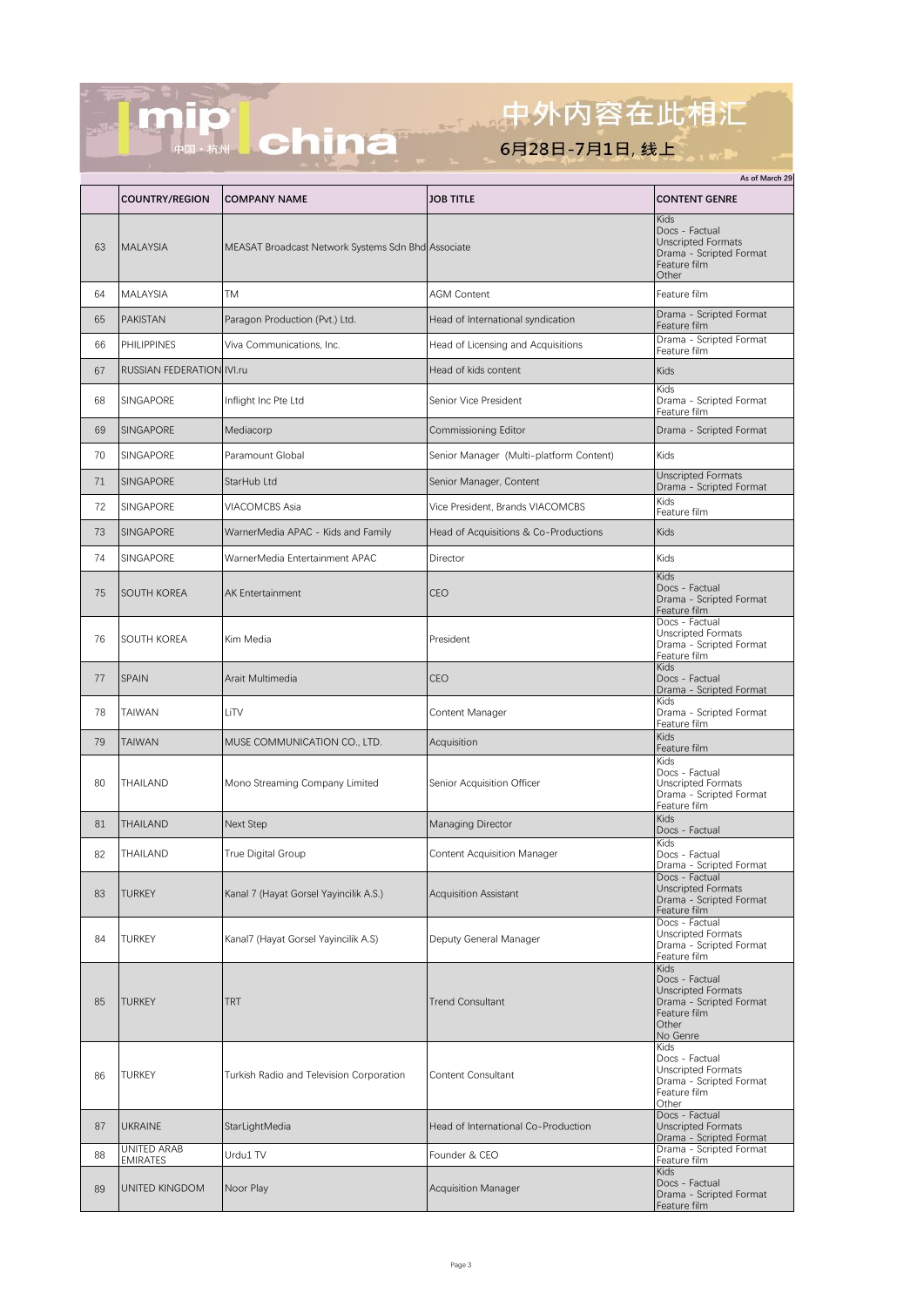

ar<br>Historia

|    |                                |                                                    |                                         | As of March 29                                                                                                             |
|----|--------------------------------|----------------------------------------------------|-----------------------------------------|----------------------------------------------------------------------------------------------------------------------------|
|    | <b>COUNTRY/REGION</b>          | <b>COMPANY NAME</b>                                | <b>JOB TITLE</b>                        | <b>CONTENT GENRE</b>                                                                                                       |
| 63 | <b>MALAYSIA</b>                | MEASAT Broadcast Network Systems Sdn Bhd Associate |                                         | <b>Kids</b><br>Docs - Factual<br><b>Unscripted Formats</b><br>Drama - Scripted Format<br>Feature film<br>Other             |
| 64 | MALAYSIA                       | TM                                                 | <b>AGM Content</b>                      | Feature film                                                                                                               |
| 65 | <b>PAKISTAN</b>                | Paragon Production (Pvt.) Ltd.                     | Head of International syndication       | Drama - Scripted Format<br>Feature film                                                                                    |
| 66 | <b>PHILIPPINES</b>             | Viva Communications, Inc.                          | Head of Licensing and Acquisitions      | Drama - Scripted Format<br>Feature film                                                                                    |
| 67 | RUSSIAN FEDERATION IVI.ru      |                                                    | Head of kids content                    | <b>Kids</b>                                                                                                                |
| 68 | <b>SINGAPORE</b>               | Inflight Inc Pte Ltd                               | Senior Vice President                   | Kids<br>Drama - Scripted Format<br>Feature film                                                                            |
| 69 | <b>SINGAPORE</b>               | Mediacorp                                          | Commissioning Editor                    | Drama - Scripted Format                                                                                                    |
| 70 | <b>SINGAPORE</b>               | Paramount Global                                   | Senior Manager (Multi-platform Content) | Kids                                                                                                                       |
| 71 | SINGAPORE                      | StarHub Ltd                                        | Senior Manager, Content                 | <b>Unscripted Formats</b><br>Drama - Scripted Format                                                                       |
| 72 | <b>SINGAPORE</b>               | <b>VIACOMCBS Asia</b>                              | Vice President. Brands VIACOMCBS        | Kids<br>Feature film                                                                                                       |
| 73 | <b>SINGAPORE</b>               | WarnerMedia APAC - Kids and Family                 | Head of Acquisitions & Co-Productions   | <b>Kids</b>                                                                                                                |
| 74 | <b>SINGAPORE</b>               | WarnerMedia Entertainment APAC                     | Director                                | Kids                                                                                                                       |
| 75 | <b>SOUTH KOREA</b>             | <b>AK Entertainment</b>                            | <b>CEO</b>                              | <b>Kids</b><br>Docs - Factual<br>Drama - Scripted Format<br>Feature film                                                   |
| 76 | <b>SOUTH KOREA</b>             | Kim Media                                          | President                               | Docs - Factual<br><b>Unscripted Formats</b><br>Drama - Scripted Format<br>Feature film                                     |
| 77 | <b>SPAIN</b>                   | Arait Multimedia                                   | <b>CEO</b>                              | <b>Kids</b><br>Docs - Factual<br>Drama - Scripted Format                                                                   |
| 78 | <b>TAIWAN</b>                  | LiTV                                               | Content Manager                         | Kids<br>Drama - Scripted Format<br>Feature film                                                                            |
| 79 | <b>TAIWAN</b>                  | MUSE COMMUNICATION CO., LTD.                       | Acquisition                             | <b>Kids</b><br>Feature film                                                                                                |
| 80 | THAILAND                       | Mono Streaming Company Limited                     | Senior Acquisition Officer              | Kids<br>Docs - Factual<br><b>Unscripted Formats</b><br>Drama - Scripted Format<br>Feature film                             |
| 81 | <b>THAILAND</b>                | Next Step                                          | <b>Managing Director</b>                | <b>Kids</b><br>Docs - Factual                                                                                              |
| 82 | THAILAND                       | True Digital Group                                 | <b>Content Acquisition Manager</b>      | Kids<br>Docs - Factual<br>Drama - Scripted Format                                                                          |
| 83 | TURKEY                         | Kanal 7 (Hayat Gorsel Yayincilik A.S.)             | <b>Acquisition Assistant</b>            | Docs - Factual<br>Unscripted Formats<br>Drama - Scripted Format<br>Feature film                                            |
| 84 | TURKEY                         | Kanal7 (Hayat Gorsel Yayincilik A.S)               | Deputy General Manager                  | Docs - Factual<br><b>Unscripted Formats</b><br>Drama - Scripted Format<br>Feature film                                     |
| 85 | <b>TURKEY</b>                  | <b>TRT</b>                                         | <b>Trend Consultant</b>                 | <b>Kids</b><br>Docs - Factual<br><b>Unscripted Formats</b><br>Drama - Scripted Format<br>Feature film<br>Other<br>No Genre |
| 86 | TURKEY                         | Turkish Radio and Television Corporation           | <b>Content Consultant</b>               | Kids<br>Docs - Factual<br><b>Unscripted Formats</b><br>Drama - Scripted Format<br>Feature film<br>Other                    |
| 87 | <b>UKRAINE</b>                 | StarLightMedia                                     | Head of International Co-Production     | Docs - Factual<br><b>Unscripted Formats</b><br>Drama - Scripted Format                                                     |
| 88 | UNITED ARAB<br><b>EMIRATES</b> | Urdu1 TV                                           | Founder & CEO                           | Drama - Scripted Format<br>Feature film                                                                                    |
| 89 | UNITED KINGDOM                 | Noor Play                                          | <b>Acquisition Manager</b>              | <b>Kids</b><br>Docs - Factual<br>Drama - Scripted Format<br>Feature film                                                   |